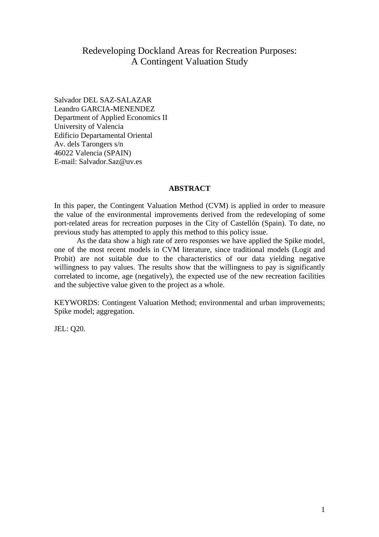# Redeveloping Dockland Areas for Recreation Purposes: A Contingent Valuation Study

Salvador DEL SAZ-SALAZAR Leandro GARCIA-MENENDEZ Department of Applied Economics II University of Valencia Edificio Departamental Oriental Av. dels Tarongers s/n 46022 Valencia (SPAIN) E-mail: Salvador.Saz@uv.es

## **ABSTRACT**

In this paper, the Contingent Valuation Method (CVM) is applied in order to measure the value of the environmental improvements derived from the redeveloping of some port-related areas for recreation purposes in the City of Castellón (Spain). To date, no previous study has attempted to apply this method to this policy issue.

As the data show a high rate of zero responses we have applied the Spike model, one of the most recent models in CVM literature, since traditional models (Logit and Probit) are not suitable due to the characteristics of our data yielding negative willingness to pay values. The results show that the willingness to pay is significantly correlated to income, age (negatively), the expected use of the new recreation facilities and the subjective value given to the project as a whole.

KEYWORDS: Contingent Valuation Method; environmental and urban improvements; Spike model; aggregation.

JEL: Q20.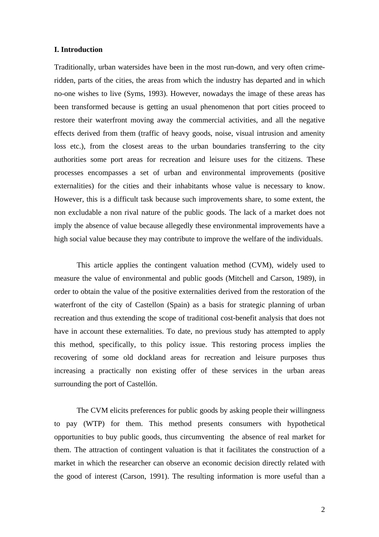#### **I. Introduction**

Traditionally, urban watersides have been in the most run-down, and very often crimeridden, parts of the cities, the areas from which the industry has departed and in which no-one wishes to live (Syms, 1993). However, nowadays the image of these areas has been transformed because is getting an usual phenomenon that port cities proceed to restore their waterfront moving away the commercial activities, and all the negative effects derived from them (traffic of heavy goods, noise, visual intrusion and amenity loss etc.), from the closest areas to the urban boundaries transferring to the city authorities some port areas for recreation and leisure uses for the citizens. These processes encompasses a set of urban and environmental improvements (positive externalities) for the cities and their inhabitants whose value is necessary to know. However, this is a difficult task because such improvements share, to some extent, the non excludable a non rival nature of the public goods. The lack of a market does not imply the absence of value because allegedly these environmental improvements have a high social value because they may contribute to improve the welfare of the individuals.

This article applies the contingent valuation method (CVM), widely used to measure the value of environmental and public goods (Mitchell and Carson, 1989), in order to obtain the value of the positive externalities derived from the restoration of the waterfront of the city of Castellon (Spain) as a basis for strategic planning of urban recreation and thus extending the scope of traditional cost-benefit analysis that does not have in account these externalities. To date, no previous study has attempted to apply this method, specifically, to this policy issue. This restoring process implies the recovering of some old dockland areas for recreation and leisure purposes thus increasing a practically non existing offer of these services in the urban areas surrounding the port of Castellón.

The CVM elicits preferences for public goods by asking people their willingness to pay (WTP) for them. This method presents consumers with hypothetical opportunities to buy public goods, thus circumventing the absence of real market for them. The attraction of contingent valuation is that it facilitates the construction of a market in which the researcher can observe an economic decision directly related with the good of interest (Carson, 1991). The resulting information is more useful than a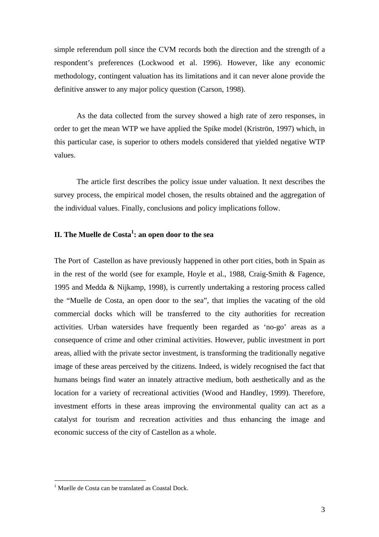simple referendum poll since the CVM records both the direction and the strength of a respondent's preferences (Lockwood et al. 1996). However, like any economic methodology, contingent valuation has its limitations and it can never alone provide the definitive answer to any major policy question (Carson, 1998).

As the data collected from the survey showed a high rate of zero responses, in order to get the mean WTP we have applied the Spike model (Kriströn, 1997) which, in this particular case, is superior to others models considered that yielded negative WTP values.

The article first describes the policy issue under valuation. It next describes the survey process, the empirical model chosen, the results obtained and the aggregation of the individual values. Finally, conclusions and policy implications follow.

## **II. The Muelle de Costa<sup>1</sup> : an open door to the sea**

The Port of Castellon as have previously happened in other port cities, both in Spain as in the rest of the world (see for example, Hoyle et al., 1988, Craig-Smith & Fagence, 1995 and Medda & Nijkamp, 1998), is currently undertaking a restoring process called the "Muelle de Costa, an open door to the sea", that implies the vacating of the old commercial docks which will be transferred to the city authorities for recreation activities. Urban watersides have frequently been regarded as 'no-go' areas as a consequence of crime and other criminal activities. However, public investment in port areas, allied with the private sector investment, is transforming the traditionally negative image of these areas perceived by the citizens. Indeed, is widely recognised the fact that humans beings find water an innately attractive medium, both aesthetically and as the location for a variety of recreational activities (Wood and Handley, 1999). Therefore, investment efforts in these areas improving the environmental quality can act as a catalyst for tourism and recreation activities and thus enhancing the image and economic success of the city of Castellon as a whole.

<sup>1</sup> Muelle de Costa can be translated as Coastal Dock.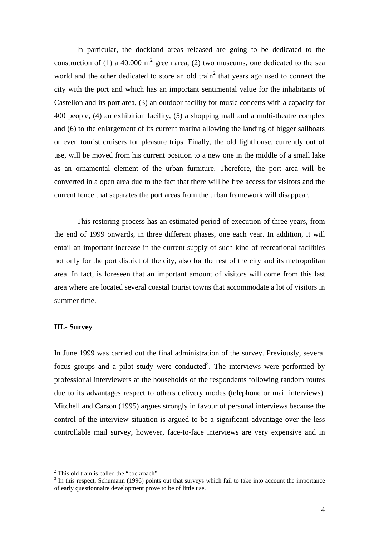In particular, the dockland areas released are going to be dedicated to the construction of (1) a 40.000 m<sup>2</sup> green area, (2) two museums, one dedicated to the sea world and the other dedicated to store an old train<sup>2</sup> that years ago used to connect the city with the port and which has an important sentimental value for the inhabitants of Castellon and its port area, (3) an outdoor facility for music concerts with a capacity for 400 people, (4) an exhibition facility, (5) a shopping mall and a multi-theatre complex and (6) to the enlargement of its current marina allowing the landing of bigger sailboats or even tourist cruisers for pleasure trips. Finally, the old lighthouse, currently out of use, will be moved from his current position to a new one in the middle of a small lake as an ornamental element of the urban furniture. Therefore, the port area will be converted in a open area due to the fact that there will be free access for visitors and the current fence that separates the port areas from the urban framework will disappear.

This restoring process has an estimated period of execution of three years, from the end of 1999 onwards, in three different phases, one each year. In addition, it will entail an important increase in the current supply of such kind of recreational facilities not only for the port district of the city, also for the rest of the city and its metropolitan area. In fact, is foreseen that an important amount of visitors will come from this last area where are located several coastal tourist towns that accommodate a lot of visitors in summer time.

#### **III.- Survey**

 $\overline{a}$ 

In June 1999 was carried out the final administration of the survey. Previously, several focus groups and a pilot study were conducted<sup>3</sup>. The interviews were performed by professional interviewers at the households of the respondents following random routes due to its advantages respect to others delivery modes (telephone or mail interviews). Mitchell and Carson (1995) argues strongly in favour of personal interviews because the control of the interview situation is argued to be a significant advantage over the less controllable mail survey, however, face-to-face interviews are very expensive and in

 $2$  This old train is called the "cockroach".

 $3$  In this respect, Schumann (1996) points out that surveys which fail to take into account the importance of early questionnaire development prove to be of little use.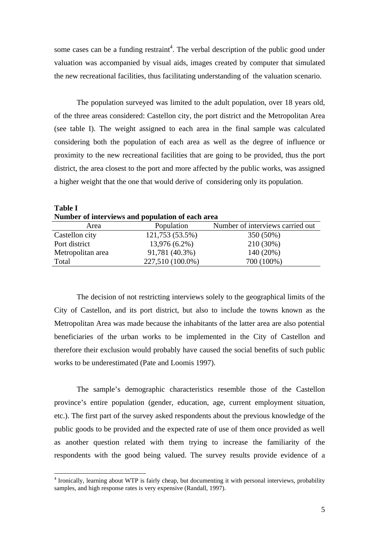some cases can be a funding restraint<sup>4</sup>. The verbal description of the public good under valuation was accompanied by visual aids, images created by computer that simulated the new recreational facilities, thus facilitating understanding of the valuation scenario.

The population surveyed was limited to the adult population, over 18 years old, of the three areas considered: Castellon city, the port district and the Metropolitan Area (see table I). The weight assigned to each area in the final sample was calculated considering both the population of each area as well as the degree of influence or proximity to the new recreational facilities that are going to be provided, thus the port district, the area closest to the port and more affected by the public works, was assigned a higher weight that the one that would derive of considering only its population.

| <b>Table I</b>                                   |  |
|--------------------------------------------------|--|
| Number of interviews and population of each area |  |

 $\overline{a}$ 

| Area              | Population       | Number of interviews carried out |
|-------------------|------------------|----------------------------------|
| Castellon city    | 121,753 (53.5%)  | 350 (50%)                        |
| Port district     | 13,976 (6.2%)    | 210 (30%)                        |
| Metropolitan area | 91,781 (40.3%)   | 140 (20%)                        |
| Total             | 227,510 (100.0%) | 700 (100%)                       |
|                   |                  |                                  |

The decision of not restricting interviews solely to the geographical limits of the City of Castellon, and its port district, but also to include the towns known as the Metropolitan Area was made because the inhabitants of the latter area are also potential beneficiaries of the urban works to be implemented in the City of Castellon and therefore their exclusion would probably have caused the social benefits of such public works to be underestimated (Pate and Loomis 1997).

The sample's demographic characteristics resemble those of the Castellon province's entire population (gender, education, age, current employment situation, etc.). The first part of the survey asked respondents about the previous knowledge of the public goods to be provided and the expected rate of use of them once provided as well as another question related with them trying to increase the familiarity of the respondents with the good being valued. The survey results provide evidence of a

<sup>&</sup>lt;sup>4</sup> Ironically, learning about WTP is fairly cheap, but documenting it with personal interviews, probability samples, and high response rates is very expensive (Randall, 1997).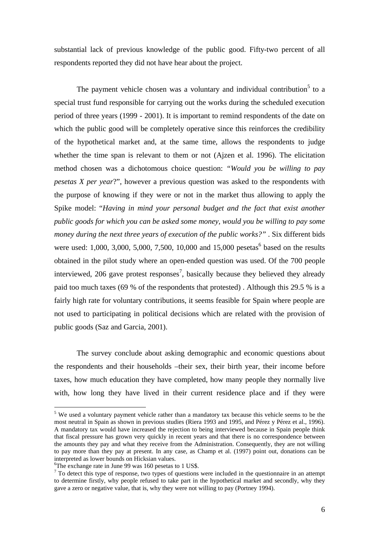substantial lack of previous knowledge of the public good. Fifty-two percent of all respondents reported they did not have hear about the project.

The payment vehicle chosen was a voluntary and individual contribution<sup>5</sup> to a special trust fund responsible for carrying out the works during the scheduled execution period of three years (1999 - 2001). It is important to remind respondents of the date on which the public good will be completely operative since this reinforces the credibility of the hypothetical market and, at the same time, allows the respondents to judge whether the time span is relevant to them or not (Ajzen et al. 1996). The elicitation method chosen was a dichotomous choice question: *"Would you be willing to pay pesetas X per year*?", however a previous question was asked to the respondents with the purpose of knowing if they were or not in the market thus allowing to apply the Spike model: "*Having in mind your personal budget and the fact that exist another public goods for which you can be asked some money, would you be willing to pay some money during the next three years of execution of the public works?"* . Six different bids were used: 1,000, 3,000, 5,000, 7,500, 10,000 and 15,000 pesetas<sup>6</sup> based on the results obtained in the pilot study where an open-ended question was used. Of the 700 people interviewed, 206 gave protest responses<sup>7</sup>, basically because they believed they already paid too much taxes (69 % of the respondents that protested) . Although this 29.5 % is a fairly high rate for voluntary contributions, it seems feasible for Spain where people are not used to participating in political decisions which are related with the provision of public goods (Saz and Garcia, 2001).

The survey conclude about asking demographic and economic questions about the respondents and their households –their sex, their birth year, their income before taxes, how much education they have completed, how many people they normally live with, how long they have lived in their current residence place and if they were

<sup>&</sup>lt;sup>5</sup> We used a voluntary payment vehicle rather than a mandatory tax because this vehicle seems to be the most neutral in Spain as shown in previous studies (Riera 1993 and 1995, and Pérez y Pérez et al., 1996). A mandatory tax would have increased the rejection to being interviewed because in Spain people think that fiscal pressure has grown very quickly in recent years and that there is no correspondence between the amounts they pay and what they receive from the Administration. Consequently, they are not willing to pay more than they pay at present. In any case, as Champ et al. (1997) point out, donations can be interpreted as lower bounds on Hicksian values.

<sup>&</sup>lt;sup>6</sup>The exchange rate in June 99 was 160 pesetas to 1 US\$.

 $<sup>7</sup>$  To detect this type of response, two types of questions were included in the questionnaire in an attempt</sup> to determine firstly, why people refused to take part in the hypothetical market and secondly, why they gave a zero or negative value, that is, why they were not willing to pay (Portney 1994).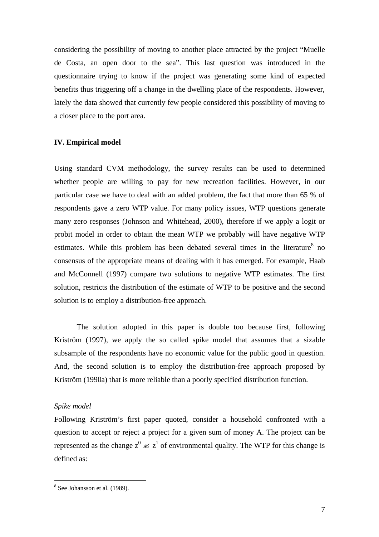considering the possibility of moving to another place attracted by the project "Muelle de Costa, an open door to the sea". This last question was introduced in the questionnaire trying to know if the project was generating some kind of expected benefits thus triggering off a change in the dwelling place of the respondents. However, lately the data showed that currently few people considered this possibility of moving to a closer place to the port area.

#### **IV. Empirical model**

Using standard CVM methodology, the survey results can be used to determined whether people are willing to pay for new recreation facilities. However, in our particular case we have to deal with an added problem, the fact that more than 65 % of respondents gave a zero WTP value. For many policy issues, WTP questions generate many zero responses (Johnson and Whitehead, 2000), therefore if we apply a logit or probit model in order to obtain the mean WTP we probably will have negative WTP estimates. While this problem has been debated several times in the literature<sup>8</sup> no consensus of the appropriate means of dealing with it has emerged. For example, Haab and McConnell (1997) compare two solutions to negative WTP estimates. The first solution, restricts the distribution of the estimate of WTP to be positive and the second solution is to employ a distribution-free approach.

The solution adopted in this paper is double too because first, following Kriström (1997), we apply the so called spike model that assumes that a sizable subsample of the respondents have no economic value for the public good in question. And, the second solution is to employ the distribution-free approach proposed by Kriström (1990a) that is more reliable than a poorly specified distribution function.

#### *Spike model*

 $\overline{a}$ 

Following Kriström's first paper quoted, consider a household confronted with a question to accept or reject a project for a given sum of money A. The project can be represented as the change  $z^0 \ll z^1$  of environmental quality. The WTP for this change is defined as:

<sup>8</sup> See Johansson et al. (1989).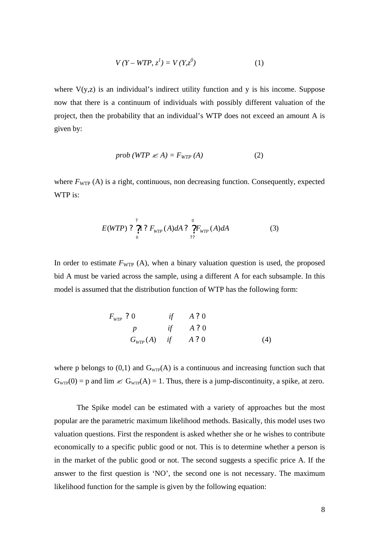$$
V(Y - WTP, z^{I}) = V(Y, z^{0})
$$
 (1)

where  $V(y, z)$  is an individual's indirect utility function and y is his income. Suppose now that there is a continuum of individuals with possibly different valuation of the project, then the probability that an individual's WTP does not exceed an amount A is given by:

$$
prob (WTP \le A) = F_{WTP}(A)
$$
 (2)

where  $F_{\text{WTP}}$  (A) is a right, continuous, non decreasing function. Consequently, expected WTP is:

$$
E(WTP) ? \bigg|_{0}^{?} ? F_{WTP}(A) dA ? \bigg|_{?}^{0} F_{WTP}(A) dA \tag{3}
$$

In order to estimate  $F_{\text{WTP}}$  (A), when a binary valuation question is used, the proposed bid A must be varied across the sample, using a different A for each subsample. In this model is assumed that the distribution function of WTP has the following form:

( ) 0 (4) 0 0 0 ? ? ? ? *G A if A p if A F if A WTP WTP*

where p belongs to  $(0,1)$  and  $G_{\text{WTP}}(A)$  is a continuous and increasing function such that  $G_{WTP}(0) = p$  and  $\lim \mathcal{L} G_{WTP}(A) = 1$ . Thus, there is a jump-discontinuity, a spike, at zero.

The Spike model can be estimated with a variety of approaches but the most popular are the parametric maximum likelihood methods. Basically, this model uses two valuation questions. First the respondent is asked whether she or he wishes to contribute economically to a specific public good or not. This is to determine whether a person is in the market of the public good or not. The second suggests a specific price A. If the answer to the first question is 'NO', the second one is not necessary. The maximum likelihood function for the sample is given by the following equation: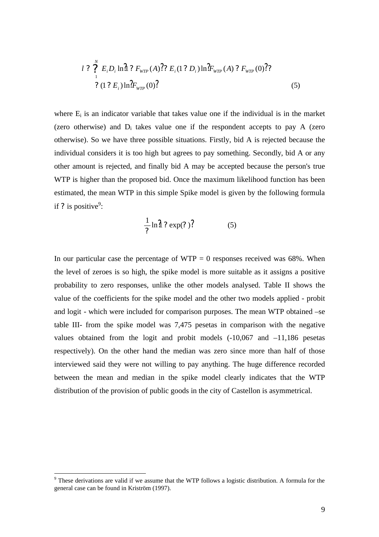$$
l ? \sum_{i=1}^{N} E_{i} D_{i} \ln \hat{l} ? F_{wTP}(A)? \sum_{i=1}^{N} E_{i} (1 ? D_{i}) \ln \mathcal{F}_{wTP}(A) ? F_{wTP}(0)?
$$
  
 
$$
? (1 ? E_{i}) \ln \mathcal{F}_{wTP}(0)? \tag{5}
$$

where  $E_i$  is an indicator variable that takes value one if the individual is in the market (zero otherwise) and  $D_i$  takes value one if the respondent accepts to pay A (zero otherwise). So we have three possible situations. Firstly, bid A is rejected because the individual considers it is too high but agrees to pay something. Secondly, bid A or any other amount is rejected, and finally bid A may be accepted because the person's true WTP is higher than the proposed bid. Once the maximum likelihood function has been estimated, the mean WTP in this simple Spike model is given by the following formula if ? is positive<sup>9</sup>:

$$
\frac{1}{2}\ln\hat{d}?\exp(2)?\tag{5}
$$

In our particular case the percentage of  $WTP = 0$  responses received was 68%. When the level of zeroes is so high, the spike model is more suitable as it assigns a positive probability to zero responses, unlike the other models analysed. Table II shows the value of the coefficients for the spike model and the other two models applied - probit and logit - which were included for comparison purposes. The mean WTP obtained –se table III- from the spike model was 7,475 pesetas in comparison with the negative values obtained from the logit and probit models (-10,067 and –11,186 pesetas respectively). On the other hand the median was zero since more than half of those interviewed said they were not willing to pay anything. The huge difference recorded between the mean and median in the spike model clearly indicates that the WTP distribution of the provision of public goods in the city of Castellon is asymmetrical.

<sup>&</sup>lt;sup>9</sup> These derivations are valid if we assume that the WTP follows a logistic distribution. A formula for the general case can be found in Kriström (1997).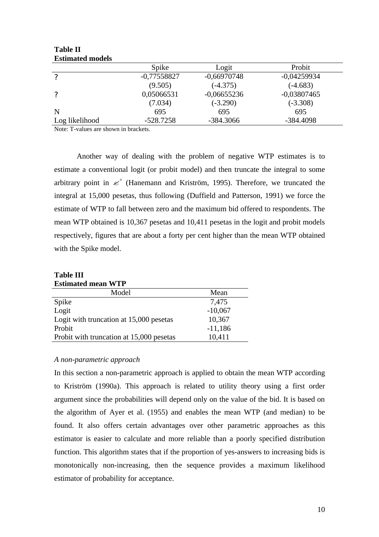| езишани присіз |               |               |               |
|----------------|---------------|---------------|---------------|
|                | Spike         | Logit         | Probit        |
| 9              | $-0,77558827$ | $-0,66970748$ | $-0,04259934$ |
|                | (9.505)       | $(-4.375)$    | $(-4.683)$    |
| 9              | 0,05066531    | $-0,06655236$ | $-0,03807465$ |
|                | (7.034)       | $(-3.290)$    | $(-3.308)$    |
| N              | 695           | 695           | 695           |
| Log likelihood | $-528.7258$   | $-384.3066$   | $-384.4098$   |

**Table II Estimated models**

Note: T-values are shown in brackets.

Another way of dealing with the problem of negative WTP estimates is to estimate a conventional logit (or probit model) and then truncate the integral to some arbitrary point in  $\epsilon$ <sup>+</sup> (Hanemann and Kriström, 1995). Therefore, we truncated the integral at 15,000 pesetas, thus following (Duffield and Patterson, 1991) we force the estimate of WTP to fall between zero and the maximum bid offered to respondents. The mean WTP obtained is 10,367 pesetas and 10,411 pesetas in the logit and probit models respectively, figures that are about a forty per cent higher than the mean WTP obtained with the Spike model.

**Table III Estimated mean WTP**

| Estimated mean WII                       |           |
|------------------------------------------|-----------|
| Model                                    | Mean      |
| Spike                                    | 7,475     |
| Logit                                    | $-10,067$ |
| Logit with truncation at 15,000 pesetas  | 10,367    |
| Probit                                   | $-11,186$ |
| Probit with truncation at 15,000 pesetas | 10,411    |

## *A non-parametric approach*

In this section a non-parametric approach is applied to obtain the mean WTP according to Kriström (1990a). This approach is related to utility theory using a first order argument since the probabilities will depend only on the value of the bid. It is based on the algorithm of Ayer et al. (1955) and enables the mean WTP (and median) to be found. It also offers certain advantages over other parametric approaches as this estimator is easier to calculate and more reliable than a poorly specified distribution function. This algorithm states that if the proportion of yes-answers to increasing bids is monotonically non-increasing, then the sequence provides a maximum likelihood estimator of probability for acceptance.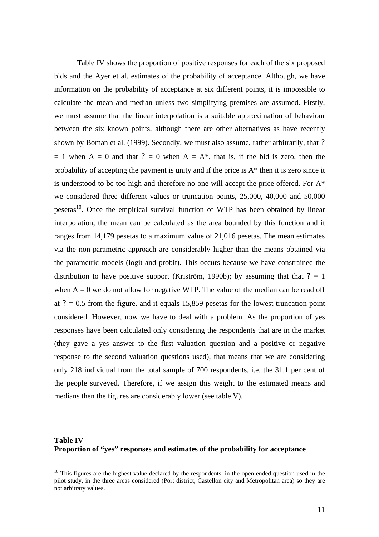Table IV shows the proportion of positive responses for each of the six proposed bids and the Ayer et al. estimates of the probability of acceptance. Although, we have information on the probability of acceptance at six different points, it is impossible to calculate the mean and median unless two simplifying premises are assumed. Firstly, we must assume that the linear interpolation is a suitable approximation of behaviour between the six known points, although there are other alternatives as have recently shown by Boman et al. (1999). Secondly, we must also assume, rather arbitrarily, that ?  $= 1$  when A = 0 and that ? = 0 when A = A\*, that is, if the bid is zero, then the probability of accepting the payment is unity and if the price is A\* then it is zero since it is understood to be too high and therefore no one will accept the price offered. For A\* we considered three different values or truncation points, 25,000, 40,000 and 50,000 pesetas<sup>10</sup>. Once the empirical survival function of WTP has been obtained by linear interpolation, the mean can be calculated as the area bounded by this function and it ranges from 14,179 pesetas to a maximum value of 21,016 pesetas. The mean estimates via the non-parametric approach are considerably higher than the means obtained via the parametric models (logit and probit). This occurs because we have constrained the distribution to have positive support (Kriström, 1990b); by assuming that that  $? = 1$ when  $A = 0$  we do not allow for negative WTP. The value of the median can be read off at  $? = 0.5$  from the figure, and it equals 15,859 pesetas for the lowest truncation point considered. However, now we have to deal with a problem. As the proportion of yes responses have been calculated only considering the respondents that are in the market (they gave a yes answer to the first valuation question and a positive or negative response to the second valuation questions used), that means that we are considering only 218 individual from the total sample of 700 respondents, i.e. the 31.1 per cent of the people surveyed. Therefore, if we assign this weight to the estimated means and medians then the figures are considerably lower (see table V).

## **Table IV Proportion of "yes" responses and estimates of the probability for acceptance**

 $10$  This figures are the highest value declared by the respondents, in the open-ended question used in the pilot study, in the three areas considered (Port district, Castellon city and Metropolitan area) so they are not arbitrary values.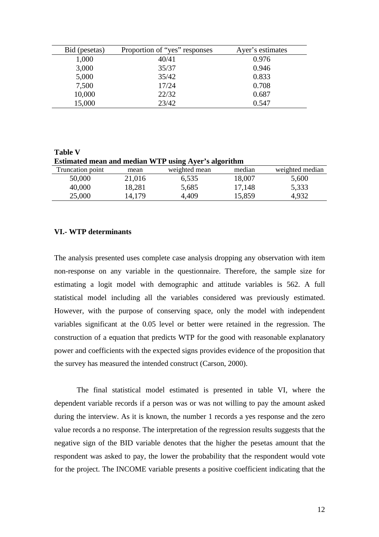| Bid (pesetas) | Proportion of "yes" responses | Ayer's estimates |
|---------------|-------------------------------|------------------|
| 1,000         | 40/41                         | 0.976            |
| 3,000         | 35/37                         | 0.946            |
| 5,000         | 35/42                         | 0.833            |
| 7,500         | 17/24                         | 0.708            |
| 10,000        | 22/32                         | 0.687            |
| 15,000        | 23/42                         | 0.547            |

**Table V Estimated mean and median WTP using Ayer's algorithm**

| Truncation point | mean   | weighted mean | median | weighted median |
|------------------|--------|---------------|--------|-----------------|
| 50,000           | 21,016 | 6,535         | 18,007 | 5,600           |
| 40,000           | 18,281 | 5,685         | 17,148 | 5,333           |
| 25,000           | 14,179 | 4,409         | 15,859 | 4,932           |

## **VI.- WTP determinants**

The analysis presented uses complete case analysis dropping any observation with item non-response on any variable in the questionnaire. Therefore, the sample size for estimating a logit model with demographic and attitude variables is 562. A full statistical model including all the variables considered was previously estimated. However, with the purpose of conserving space, only the model with independent variables significant at the 0.05 level or better were retained in the regression. The construction of a equation that predicts WTP for the good with reasonable explanatory power and coefficients with the expected signs provides evidence of the proposition that the survey has measured the intended construct (Carson, 2000).

The final statistical model estimated is presented in table VI, where the dependent variable records if a person was or was not willing to pay the amount asked during the interview. As it is known, the number 1 records a yes response and the zero value records a no response. The interpretation of the regression results suggests that the negative sign of the BID variable denotes that the higher the pesetas amount that the respondent was asked to pay, the lower the probability that the respondent would vote for the project. The INCOME variable presents a positive coefficient indicating that the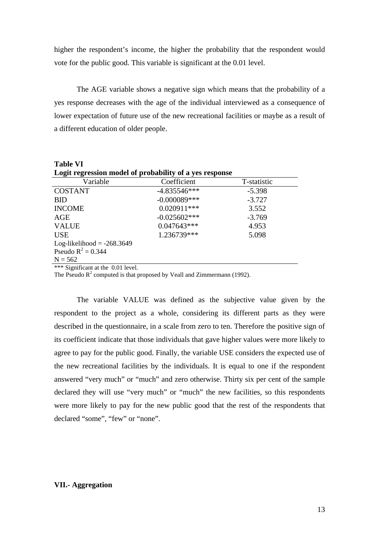higher the respondent's income, the higher the probability that the respondent would vote for the public good. This variable is significant at the 0.01 level.

The AGE variable shows a negative sign which means that the probability of a yes response decreases with the age of the individual interviewed as a consequence of lower expectation of future use of the new recreational facilities or maybe as a result of a different education of older people.

| Table VI                                                |                 |             |  |
|---------------------------------------------------------|-----------------|-------------|--|
| Logit regression model of probability of a yes response |                 |             |  |
| Variable                                                | Coefficient     | T-statistic |  |
| <b>COSTANT</b>                                          | $-4.835546***$  | $-5.398$    |  |
| <b>BID</b>                                              | $-0.000089$ *** | $-3.727$    |  |
| <b>INCOME</b>                                           | $0.020911***$   | 3.552       |  |
| AGE                                                     | $-0.025602$ *** | $-3.769$    |  |
| <b>VALUE</b>                                            | $0.047643***$   | 4.953       |  |
| <b>USE</b>                                              | 1.236739***     | 5.098       |  |
| Log-likelihood = $-268.3649$                            |                 |             |  |
| Pseudo $R^2 = 0.344$                                    |                 |             |  |
| $N = 562$                                               |                 |             |  |
| *** Significant at the 0.01 level                       |                 |             |  |

\*\*\* Significant at the 0.01 level.

**Table VI**

The Pseudo  $R^2$  computed is that proposed by Veall and Zimmermann (1992).

The variable VALUE was defined as the subjective value given by the respondent to the project as a whole, considering its different parts as they were described in the questionnaire, in a scale from zero to ten. Therefore the positive sign of its coefficient indicate that those individuals that gave higher values were more likely to agree to pay for the public good. Finally, the variable USE considers the expected use of the new recreational facilities by the individuals. It is equal to one if the respondent answered "very much" or "much" and zero otherwise. Thirty six per cent of the sample declared they will use "very much" or "much" the new facilities, so this respondents were more likely to pay for the new public good that the rest of the respondents that declared "some", "few" or "none".

## **VII.- Aggregation**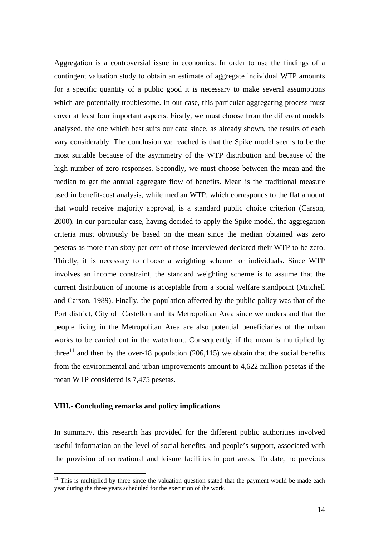Aggregation is a controversial issue in economics. In order to use the findings of a contingent valuation study to obtain an estimate of aggregate individual WTP amounts for a specific quantity of a public good it is necessary to make several assumptions which are potentially troublesome. In our case, this particular aggregating process must cover at least four important aspects. Firstly, we must choose from the different models analysed, the one which best suits our data since, as already shown, the results of each vary considerably. The conclusion we reached is that the Spike model seems to be the most suitable because of the asymmetry of the WTP distribution and because of the high number of zero responses. Secondly, we must choose between the mean and the median to get the annual aggregate flow of benefits. Mean is the traditional measure used in benefit-cost analysis, while median WTP, which corresponds to the flat amount that would receive majority approval, is a standard public choice criterion (Carson, 2000). In our particular case, having decided to apply the Spike model, the aggregation criteria must obviously be based on the mean since the median obtained was zero pesetas as more than sixty per cent of those interviewed declared their WTP to be zero. Thirdly, it is necessary to choose a weighting scheme for individuals. Since WTP involves an income constraint, the standard weighting scheme is to assume that the current distribution of income is acceptable from a social welfare standpoint (Mitchell and Carson, 1989). Finally, the population affected by the public policy was that of the Port district, City of Castellon and its Metropolitan Area since we understand that the people living in the Metropolitan Area are also potential beneficiaries of the urban works to be carried out in the waterfront. Consequently, if the mean is multiplied by three<sup>11</sup> and then by the over-18 population (206,115) we obtain that the social benefits from the environmental and urban improvements amount to 4,622 million pesetas if the mean WTP considered is 7,475 pesetas.

#### **VIII.- Concluding remarks and policy implications**

 $\overline{a}$ 

In summary, this research has provided for the different public authorities involved useful information on the level of social benefits, and people's support, associated with the provision of recreational and leisure facilities in port areas. To date, no previous

 $11$  This is multiplied by three since the valuation question stated that the payment would be made each year during the three years scheduled for the execution of the work.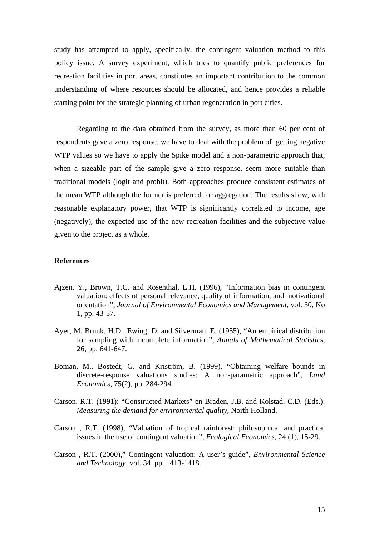study has attempted to apply, specifically, the contingent valuation method to this policy issue. A survey experiment, which tries to quantify public preferences for recreation facilities in port areas, constitutes an important contribution to the common understanding of where resources should be allocated, and hence provides a reliable starting point for the strategic planning of urban regeneration in port cities.

Regarding to the data obtained from the survey, as more than 60 per cent of respondents gave a zero response, we have to deal with the problem of getting negative WTP values so we have to apply the Spike model and a non-parametric approach that, when a sizeable part of the sample give a zero response, seem more suitable than traditional models (logit and probit). Both approaches produce consistent estimates of the mean WTP although the former is preferred for aggregation. The results show, with reasonable explanatory power, that WTP is significantly correlated to income, age (negatively), the expected use of the new recreation facilities and the subjective value given to the project as a whole.

#### **References**

- Ajzen, Y., Brown, T.C. and Rosenthal, L.H. (1996), "Information bias in contingent valuation: effects of personal relevance, quality of information, and motivational orientation", *Journal of Environmental Economics and Management*, vol. 30, No 1, pp. 43-57.
- Ayer, M. Brunk, H.D., Ewing, D. and Silverman, E. (1955), "An empirical distribution for sampling with incomplete information", *Annals of Mathematical Statistics*, 26, pp. 641-647.
- Boman, M., Bostedt, G. and Kriström, B. (1999), "Obtaining welfare bounds in discrete-response valuations studies: A non-parametric approach", *Land Economics*, 75(2), pp. 284-294.
- Carson, R.T. (1991): "Constructed Markets" en Braden, J.B. and Kolstad, C.D. (Eds.): *Measuring the demand for environmental quality*, North Holland.
- Carson , R.T. (1998), "Valuation of tropical rainforest: philosophical and practical issues in the use of contingent valuation", *Ecological Economics*, 24 (1), 15-29.
- Carson , R.T. (2000)," Contingent valuation: A user's guide", *Environmental Science and Technology*, vol. 34, pp. 1413-1418.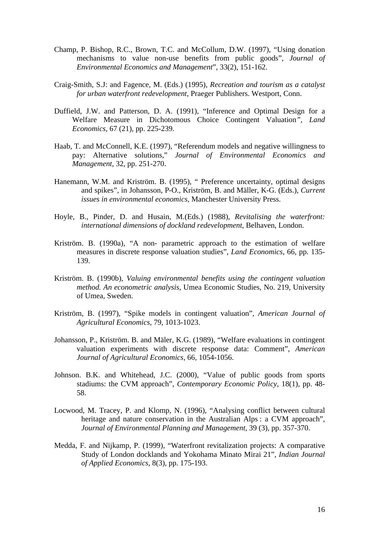- Champ, P. Bishop, R.C., Brown, T.C. and McCollum, D.W. (1997), "Using donation mechanisms to value non-use benefits from public goods", *Journal of Environmental Economics and Management*", 33(2), 151-162.
- Craig-Smith, S.J: and Fagence, M. (Eds.) (1995), *Recreation and tourism as a catalyst for urban waterfront redevelopment*, Praeger Publishers. Westport, Conn.
- Duffield, J.W. and Patterson, D. A. (1991), "Inference and Optimal Design for a Welfare Measure in Dichotomous Choice Contingent Valuation*", Land Economics*, 67 (21), pp. 225-239.
- Haab, T. and McConnell, K.E. (1997), "Referendum models and negative willingness to pay: Alternative solutions," *Journal of Environmental Economics and Management*, 32, pp. 251-270.
- Hanemann, W.M. and Kriström. B. (1995), " Preference uncertainty, optimal designs and spikes", in Johansson, P-O., Kriström, B. and Mäller, K-G. (Eds.), *Current issues in environmental economics*, Manchester University Press.
- Hoyle, B., Pinder, D. and Husain, M.(Eds.) (1988), *Revitalising the waterfront: international dimensions of dockland redevelopment*, Belhaven, London.
- Kriström. B. (1990a), "A non- parametric approach to the estimation of welfare measures in discrete response valuation studies", *Land Economics*, 66, pp. 135- 139.
- Kriström. B. (1990b), *Valuing environmental benefits using the contingent valuation method. An econometric analysis*, Umea Economic Studies, No. 219, University of Umea, Sweden.
- Kriström, B. (1997), "Spike models in contingent valuation", *American Journal of Agricultural Economics*, 79, 1013-1023.
- Johansson, P., Kriström. B. and Mäler, K.G. (1989), "Welfare evaluations in contingent valuation experiments with discrete response data: Comment", *American Journal of Agricultural Economics*, 66, 1054-1056.
- Johnson. B.K. and Whitehead, J.C. (2000), "Value of public goods from sports stadiums: the CVM approach", *Contemporary Economic Policy*, 18(1), pp. 48- 58.
- Locwood, M. Tracey, P. and Klomp, N. (1996), "Analysing conflict between cultural heritage and nature conservation in the Australian Alps : a CVM approach", *Journal of Environmental Planning and Management*, 39 (3), pp. 357-370.
- Medda, F. and Nijkamp, P. (1999), "Waterfront revitalization projects: A comparative Study of London docklands and Yokohama Minato Mirai 21", *Indian Journal of Applied Economics*, 8(3), pp. 175-193.